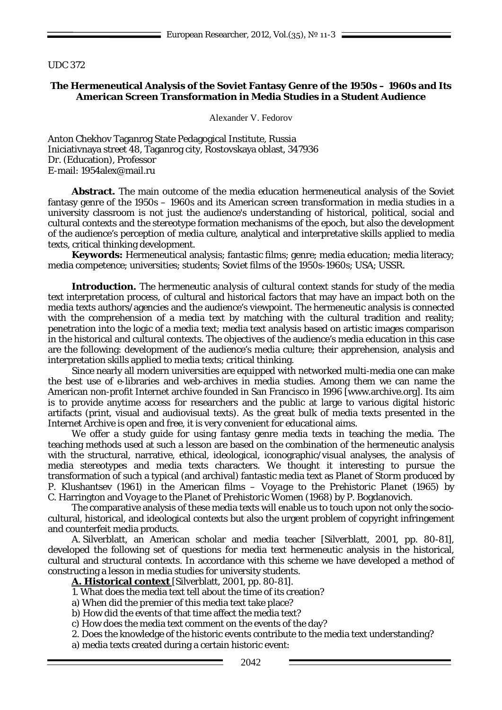UDC 372

## **The Hermeneutical Analysis of the Soviet Fantasy Genre of the 1950s – 1960s and Its American Screen Transformation in Media Studies in a Student Audience**

Alexander V. Fedorov

Anton Chekhov Taganrog State Pedagogical Institute, Russia Iniciativnaya street 48, Taganrog city, Rostovskaya oblast, 347936 Dr. (Education), Professor E-mail: [1954alex@mail.ru](mailto:1954alex@mail.ru)

**Abstract.** The main outcome of the media education hermeneutical analysis of the Soviet fantasy genre of the 1950s – 1960s and its American screen transformation in media studies in a university classroom is not just the audience's understanding of historical, political, social and cultural contexts and the stereotype formation mechanisms of the epoch, but also the development of the audience's perception of media culture, analytical and interpretative skills applied to media texts, critical thinking development.

**Keywords:** Hermeneutical analysis; fantastic films; genre; media education; media literacy; media competence; universities; students; Soviet films of the 1950s-1960s; USA; USSR.

**Introduction.** *The hermeneutic analysis of cultural context* stands for study of the media text interpretation process, of cultural and historical factors that may have an impact both on the media texts authors/agencies and the audience's viewpoint. The hermeneutic analysis is connected with the comprehension of a media text by matching with the cultural tradition and reality; penetration into the logic of a media text; media text analysis based on artistic images comparison in the historical and cultural contexts. The objectives of the audience's media education in this case are the following: development of the audience's media culture; their apprehension, analysis and interpretation skills applied to media texts; critical thinking.

Since nearly all modern universities are equipped with networked multi-media one can make the best use of e-libraries and web-archives in media studies. Among them we can name the American non-profit Internet archive founded in San Francisco in 1996 [www.archive.org]. Its aim is to provide anytime access for researchers and the public at large to various digital historic artifacts (print, visual and audiovisual texts). As the great bulk of media texts presented in the Internet Archive is open and free, it is very convenient for educational aims.

We offer a study guide for using fantasy genre media texts in teaching the media. The teaching methods used at such a lesson are based on the combination of the hermeneutic analysis with the structural, narrative, ethical, ideological, iconographic/visual analyses, the analysis of media stereotypes and media texts characters. We thought it interesting to pursue the transformation of such a typical (and archival) fantastic media text as *Planet of Storm* produced by P. Klushantsev (1961) in the American films – *Voyage to the Prehistoric Planet* (1965) by C. Harrington and *Voyage to the Planet of Prehistoric Women* (1968) by P. Bogdanovich.

The comparative analysis of these media texts will enable us to touch upon not only the sociocultural, historical, and ideological contexts but also the urgent problem of copyright infringement and counterfeit media products.

A. Silverblatt, an American scholar and media teacher [Silverblatt, 2001, pp. 80-81], developed the following set of questions for media text hermeneutic analysis in the historical, cultural and structural contexts. In accordance with this scheme we have developed a method of constructing a lesson in media studies for university students.

**A. Historical context** [Silverblatt, 2001, pp. 80-81].

- 1. What does the media text tell about the time of its creation?
- a) When did the premier of this media text take place?
- b) How did the events of that time affect the media text?
- c) How does the media text comment on the events of the day?
- 2. Does the knowledge of the historic events contribute to the media text understanding?
- a) media texts created during a certain historic event: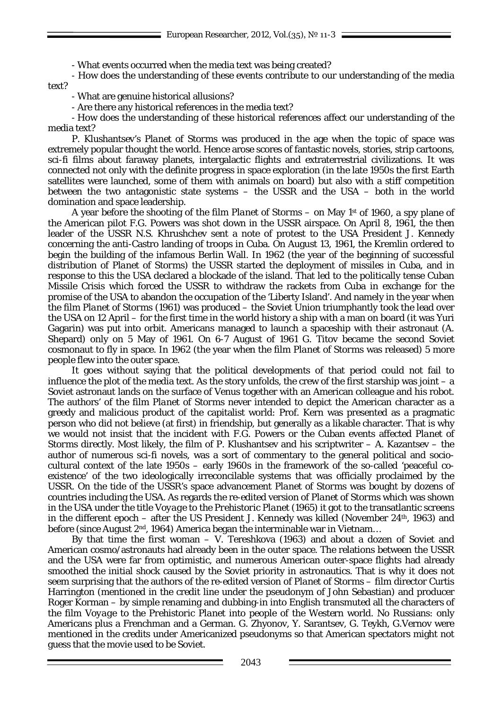European Researcher, 2012, Vol.  $(35)$ , N<sup>o</sup> 11-3

- What events occurred when the media text was being created?

- How does the understanding of these events contribute to our understanding of the media text?

- What are genuine historical allusions?

- Are there any historical references in the media text?

- How does the understanding of these historical references affect our understanding of the media text?

P. Klushantsev's *Planet of Storms* was produced in the age when the topic of space was extremely popular thought the world. Hence arose scores of fantastic novels, stories, strip cartoons, sci-fi films about faraway planets, intergalactic flights and extraterrestrial civilizations. It was connected not only with the definite progress in space exploration (in the late 1950s the first Earth satellites were launched, some of them with animals on board) but also with a stiff competition between the two antagonistic state systems – the USSR and the USA – both in the world domination and space leadership.

A year before the shooting of the film *Planet of Storms* – on May 1st of 1960, a spy plane of the American pilot F.G. Powers was shot down in the USSR airspace. On April 8, 1961, the then leader of the USSR N.S. Khrushchev sent a note of protest to the USA President J. Kennedy concerning the anti-Castro landing of troops in Cuba. On August 13, 1961, the Kremlin ordered to begin the building of the infamous Berlin Wall. In 1962 (the year of the beginning of successful distribution of *Planet of Storms*) the USSR started the deployment of missiles in Cuba, and in response to this the USA declared a blockade of the island. That led to the politically tense Cuban Missile Crisis which forced the USSR to withdraw the rackets from Cuba in exchange for the promise of the USA to abandon the occupation of the 'Liberty Island'. And namely in the year when the film *Planet of Storms* (1961) was produced – the Soviet Union triumphantly took the lead over the USA on 12 April – for the first time in the world history a ship with a man on board (it was Yuri Gagarin) was put into orbit. Americans managed to launch a spaceship with their astronaut (A. Shepard) only on 5 May of 1961. On 6-7 August of 1961 G. Titov became the second Soviet cosmonaut to fly in space. In 1962 (the year when the film *Planet of Storms* was released) 5 more people flew into the outer space.

It goes without saying that the political developments of that period could not fail to influence the plot of the media text. As the story unfolds, the crew of the first starship was joint  $-$  a Soviet astronaut lands on the surface of Venus together with an American colleague and his robot. The authors' of the film *Planet of Storms* never intended to depict the American character as a greedy and malicious product of the capitalist world: Prof. Kern was presented as a pragmatic person who did not believe (at first) in friendship, but generally as a likable character. That is why we would not insist that the incident with F.G. Powers or the Cuban events affected *Planet of Storms* directly. Most likely, the film of P. Klushantsev and his scriptwriter – A. Kazantsev – the author of numerous sci-fi novels, was a sort of commentary to the general political and sociocultural context of the late 1950s – early 1960s in the framework of the so-called 'peaceful coexistence' of the two ideologically irreconcilable systems that was officially proclaimed by the USSR. On the tide of the USSR's space advancement *Planet of Storms* was bought by dozens of countries including the USA. As regards the re-edited version of *Planet of Storms* which was shown in the USA under the title *Voyage to the Prehistoric Planet* (1965) it got to the transatlantic screens in the different epoch – after the US President J. Kennedy was killed (November 24<sup>th</sup>, 1963) and before (since August 2<sup>nd</sup>, 1964) America began the interminable war in Vietnam...

By that time the first woman – V. Tereshkova (1963) and about a dozen of Soviet and American cosmo/astronauts had already been in the outer space. The relations between the USSR and the USA were far from optimistic, and numerous American outer-space flights had already smoothed the initial shock caused by the Soviet priority in astronautics. That is why it does not seem surprising that the authors of the re-edited version of *Planet of Storms* – film director Curtis Harrington (mentioned in the credit line under the pseudonym of John Sebastian) and producer Roger Korman – by simple renaming and dubbing-in into English transmuted all the characters of the film *Voyage to the Prehistoric Planet* into people of the Western world. No Russians: only Americans plus a Frenchman and a German. G. Zhyonov, Y. Sarantsev, G. Teykh, G.Vernov were mentioned in the credits under Americanized pseudonyms so that American spectators might not guess that the movie used to be Soviet.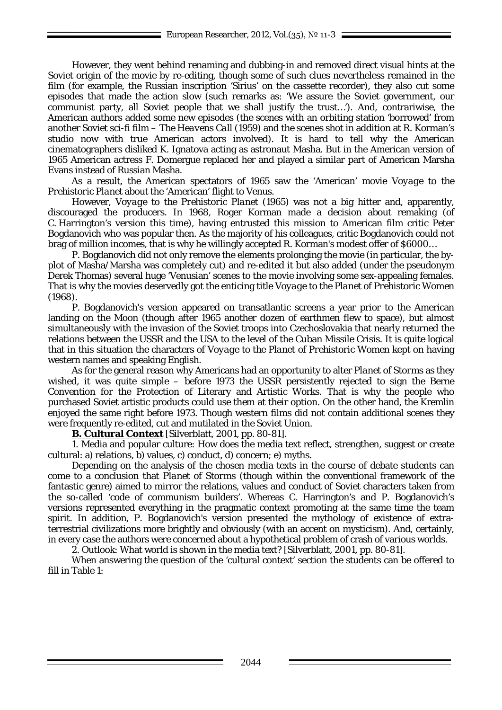However, they went behind renaming and dubbing-in and removed direct visual hints at the Soviet origin of the movie by re-editing, though some of such clues nevertheless remained in the film (for example, the Russian inscription 'Sirius' on the cassette recorder), they also cut some episodes that made the action slow (such remarks as: 'We assure the Soviet government, our communist party, all Soviet people that we shall justify the trust…'). And, contrariwise, the American authors added some new episodes (the scenes with an orbiting station 'borrowed' from another Soviet sci-fi film – *The Heavens Call* (1959) and the scenes shot in addition at R. Korman's studio now with true American actors involved). It is hard to tell why the American cinematographers disliked K. Ignatova acting as astronaut Masha. But in the American version of 1965 American actress F. Domergue replaced her and played a similar part of American Marsha Evans instead of Russian Masha.

As a result, the American spectators of 1965 saw the 'American' movie *Voyage to the Prehistoric Planet* about the 'American' flight to Venus.

However, *Voyage to the Prehistoric Planet* (1965) was not a big hitter and, apparently, discouraged the producers. In 1968, Roger Korman made a decision about remaking (of C. Harrington's version this time), having entrusted this mission to American film critic Peter Bogdanovich who was popular then. As the majority of his colleagues, critic Bogdanovich could not brag of million incomes, that is why he willingly accepted R. Korman's modest offer of \$6000…

P. Bogdanovich did not only remove the elements prolonging the movie (in particular, the byplot of Masha/Marsha was completely cut) and re-edited it but also added (under the pseudonym Derek Thomas) several huge 'Venusian' scenes to the movie involving some sex-appealing females. That is why the movies deservedly got the enticing title *Voyage to the Planet of Prehistoric Women* (1968).

P. Bogdanovich's version appeared on transatlantic screens a year prior to the American landing on the Moon (though after 1965 another dozen of earthmen flew to space), but almost simultaneously with the invasion of the Soviet troops into Czechoslovakia that nearly returned the relations between the USSR and the USA to the level of the Cuban Missile Crisis*.* It is quite logical that in this situation the characters of *Voyage to the Planet of Prehistoric Women* kept on having western names and speaking English.

As for the general reason why Americans had an opportunity to alter *Planet of Storms* as they wished, it was quite simple – before 1973 the USSR persistently rejected to sign the Berne Convention for the Protection of Literary and Artistic Works. That is why the people who purchased Soviet artistic products could use them at their option. On the other hand, the Kremlin enjoyed the same right before 1973. Though western films did not contain additional scenes they were frequently re-edited, cut and mutilated in the Soviet Union.

**B. Cultural Context** [Silverblatt, 2001, pp. 80-81].

1. Media and popular culture: How does the media text reflect, strengthen, suggest or create cultural: a) relations, b) values, c) conduct, d) concern; e) myths.

Depending on the analysis of the chosen media texts in the course of debate students can come to a conclusion that *Planet of Storms* (though within the conventional framework of the fantastic genre) aimed to mirror the relations, values and conduct of Soviet characters taken from the so-called 'code of communism builders'. Whereas C. Harrington's and P. Bogdanovich's versions represented everything in the pragmatic context promoting at the same time the team spirit. In addition, P. Bogdanovich's version presented the mythology of existence of extraterrestrial civilizations more brightly and obviously (with an accent on mysticism). And, certainly, in every case the authors were concerned about a hypothetical problem of crash of various worlds.

2. Outlook: What world is shown in the media text? [Silverblatt, 2001, pp. 80-81].

When answering the question of the 'cultural context' section the students can be offered to fill in Table 1: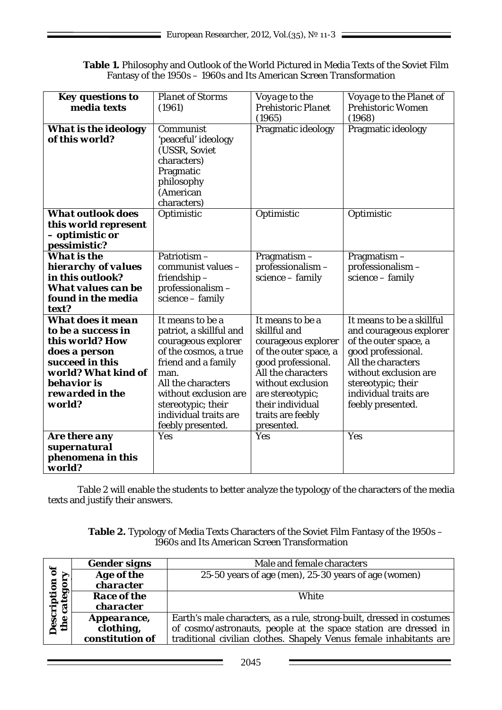**Table 1.** Philosophy and Outlook of the World Pictured in Media Texts of the Soviet Film Fantasy of the 1950s – 1960s and Its American Screen Transformation

| <b>Key questions to</b><br>media texts                                                                                                                                   | <b>Planet of Storms</b><br>(1961)                                                                                                                                                                                                             | Voyage to the<br><b>Prehistoric Planet</b><br>(1965)                                                                                                                                                                         | Voyage to the Planet of<br>Prehistoric Women<br>(1968)                                                                                                                                                                 |
|--------------------------------------------------------------------------------------------------------------------------------------------------------------------------|-----------------------------------------------------------------------------------------------------------------------------------------------------------------------------------------------------------------------------------------------|------------------------------------------------------------------------------------------------------------------------------------------------------------------------------------------------------------------------------|------------------------------------------------------------------------------------------------------------------------------------------------------------------------------------------------------------------------|
| What is the ideology<br>of this world?                                                                                                                                   | Communist<br>'peaceful' ideology<br>(USSR, Soviet<br>characters)<br>Pragmatic<br>philosophy<br>(American<br>characters)                                                                                                                       | Pragmatic ideology                                                                                                                                                                                                           | Pragmatic ideology                                                                                                                                                                                                     |
| <b>What outlook does</b><br>this world represent<br>- optimistic or<br>pessimistic?                                                                                      | Optimistic                                                                                                                                                                                                                                    | Optimistic                                                                                                                                                                                                                   | Optimistic                                                                                                                                                                                                             |
| <b>What is the</b><br>hierarchy of values<br>in this outlook?<br><b>What values can be</b><br>found in the media<br>text?                                                | Patriotism-<br>communist values -<br>friendship-<br>professionalism-<br>science - family                                                                                                                                                      | Pragmatism-<br>professionalism-<br>science - family                                                                                                                                                                          | Pragmatism-<br>professionalism-<br>$science - family$                                                                                                                                                                  |
| <b>What does it mean</b><br>to be a success in<br>this world? How<br>does a person<br>succeed in this<br>world? What kind of<br>behavior is<br>rewarded in the<br>world? | It means to be a<br>patriot, a skillful and<br>courageous explorer<br>of the cosmos, a true<br>friend and a family<br>man.<br>All the characters<br>without exclusion are<br>stereotypic; their<br>individual traits are<br>feebly presented. | It means to be a<br>skillful and<br>courageous explorer<br>of the outer space, a<br>good professional.<br>All the characters<br>without exclusion<br>are stereotypic;<br>their individual<br>traits are feebly<br>presented. | It means to be a skillful<br>and courageous explorer<br>of the outer space, a<br>good professional.<br>All the characters<br>without exclusion are<br>stereotypic; their<br>individual traits are<br>feebly presented. |
| Are there any<br>supernatural<br>phenomena in this<br>world?                                                                                                             | Yes                                                                                                                                                                                                                                           | Yes                                                                                                                                                                                                                          | Yes                                                                                                                                                                                                                    |

Table 2 will enable the students to better analyze the typology of the characters of the media texts and justify their answers.

**Table 2.** Typology of Media Texts Characters of the Soviet Film Fantasy of the 1950s – 1960s and Its American Screen Transformation

|                      | <b>Gender signs</b> | Male and female characters                                            |
|----------------------|---------------------|-----------------------------------------------------------------------|
| $\bullet$            | <b>Age of the</b>   | 25-50 years of age (men), 25-30 years of age (women)                  |
|                      | character           |                                                                       |
|                      | <b>Race of the</b>  | White                                                                 |
| <b>category</b><br>Ë | <i>character</i>    |                                                                       |
|                      | Appearance,         | Earth's male characters, as a rule, strong-built, dressed in costumes |
| Desc<br>the          | <i>clothing,</i>    | of cosmo/astronauts, people at the space station are dressed in       |
|                      | constitution of     | traditional civilian clothes. Shapely Venus female inhabitants are    |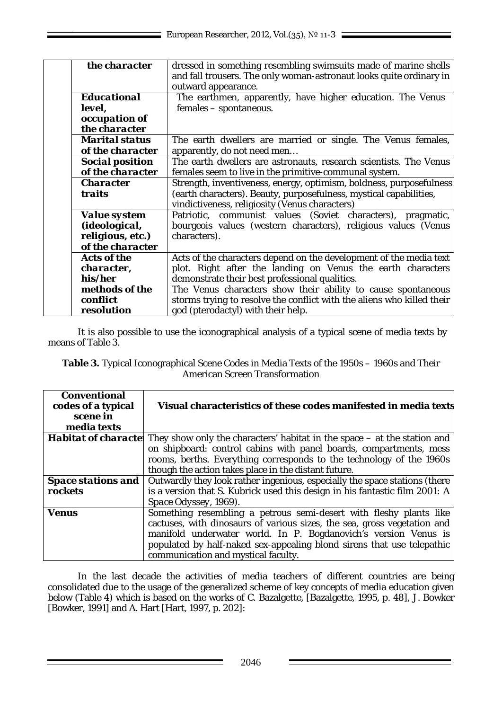| the character          | dressed in something resembling swimsuits made of marine shells        |  |
|------------------------|------------------------------------------------------------------------|--|
|                        | and fall trousers. The only woman-astronaut looks quite ordinary in    |  |
|                        | outward appearance.                                                    |  |
| <b>Educational</b>     | The earthmen, apparently, have higher education. The Venus             |  |
| level,                 | females - spontaneous.                                                 |  |
| occupation of          |                                                                        |  |
| the character          |                                                                        |  |
| <b>Marital status</b>  | The earth dwellers are married or single. The Venus females,           |  |
| of the character       | apparently, do not need men                                            |  |
| <b>Social position</b> | The earth dwellers are astronauts, research scientists. The Venus      |  |
| of the character       | females seem to live in the primitive-communal system.                 |  |
| <b>Character</b>       | Strength, inventiveness, energy, optimism, boldness, purposefulness    |  |
| traits                 | (earth characters). Beauty, purposefulness, mystical capabilities,     |  |
|                        | vindictiveness, religiosity (Venus characters)                         |  |
| <b>Value system</b>    | Patriotic, communist values (Soviet characters), pragmatic,            |  |
| <i>(ideological,</i>   | bourgeois values (western characters), religious values (Venus         |  |
| religious, etc.)       | characters).                                                           |  |
| of the character       |                                                                        |  |
| <b>Acts of the</b>     | Acts of the characters depend on the development of the media text     |  |
| character,             | plot. Right after the landing on Venus the earth characters            |  |
| his/her                | demonstrate their best professional qualities.                         |  |
| methods of the         | The Venus characters show their ability to cause spontaneous           |  |
| <b>conflict</b>        | storms trying to resolve the conflict with the aliens who killed their |  |
| resolution             | god (pterodactyl) with their help.                                     |  |

It is also possible to use the iconographical analysis of a typical scene of media texts by means of Table 3.

**Table 3.** Typical Iconographical Scene Codes in Media Texts of the 1950s – 1960s and Their American Screen Transformation

| <b>Conventional</b><br>codes of a typical<br>scene in<br>media texts | Visual characteristics of these codes manifested in media texts                                     |  |
|----------------------------------------------------------------------|-----------------------------------------------------------------------------------------------------|--|
|                                                                      | <b>Habitat of characte</b> They show only the characters' habitat in the space – at the station and |  |
|                                                                      | on shipboard: control cabins with panel boards, compartments, mess                                  |  |
|                                                                      | rooms, berths. Everything corresponds to the technology of the 1960s                                |  |
|                                                                      | though the action takes place in the distant future.                                                |  |
| <b>Space stations and</b>                                            | Outwardly they look rather ingenious, especially the space stations (there                          |  |
| rockets                                                              | is a version that S. Kubrick used this design in his fantastic film 2001: A                         |  |
|                                                                      | Space Odyssey, 1969).                                                                               |  |
| <b>Venus</b>                                                         | Something resembling a petrous semi-desert with fleshy plants like                                  |  |
|                                                                      | cactuses, with dinosaurs of various sizes, the sea, gross vegetation and                            |  |
|                                                                      | manifold underwater world. In P. Bogdanovich's version Venus is                                     |  |
|                                                                      | populated by half-naked sex-appealing blond sirens that use telepathic                              |  |
|                                                                      | communication and mystical faculty.                                                                 |  |

In the last decade the activities of media teachers of different countries are being consolidated due to the usage of the generalized scheme of key concepts of media education given below (Table 4) which is based on the works of C. Bazalgette, [Bazalgette, 1995, p. 48], J. Bowker [Bowker, 1991] and A. Hart [Hart, 1997, p. 202]: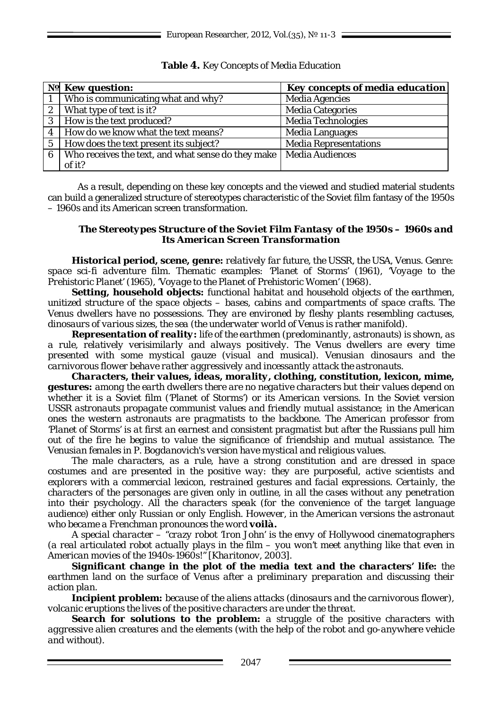|                  | $No$ Kew question:                                                   | <b>Key concepts of media education</b> |
|------------------|----------------------------------------------------------------------|----------------------------------------|
|                  | Who is communicating what and why?                                   | <b>Media Agencies</b>                  |
| $\boldsymbol{2}$ | What type of text is it?                                             | <b>Media Categories</b>                |
| 3                | How is the text produced?                                            | <b>Media Technologies</b>              |
| 4                | How do we know what the text means?                                  | <b>Media Languages</b>                 |
| $5\overline{)}$  | How does the text present its subject?                               | <b>Media Representations</b>           |
| 6                | Who receives the text, and what sense do they make   Media Audiences |                                        |
|                  | of it?                                                               |                                        |

**Table 4.** Key Concepts of Media Education

As a result, depending on these key concepts and the viewed and studied material students can build a generalized structure of stereotypes characteristic of the Soviet film fantasy of the 1950s – 1960s and its American screen transformation.

#### *The Stereotypes Structure of the Soviet Film Fantasy of the 1950s – 1960s and Its American Screen Transformation*

*Historical period, scene, genre: relatively far future, the USSR, the USA, Venus. Genre: space sci-fi adventure film. Thematic examples: 'Planet of Storms' (1961), 'Voyage to the Prehistoric Planet' (1965), 'Voyage to the Planet of Prehistoric Women' (1968).*

*Setting, household objects: functional habitat and household objects of the earthmen, unitized structure of the space objects – bases, cabins and compartments of space crafts. The Venus dwellers have no possessions. They are environed by fleshy plants resembling cactuses, dinosaurs of various sizes, the sea (the underwater world of Venus is rather manifold).*

*Representation of reality: life of the earthmen (predominantly, astronauts) is shown, as a rule, relatively verisimilarly and always positively. The Venus dwellers are every time presented with some mystical gauze (visual and musical). Venusian dinosaurs and the carnivorous flower behave rather aggressively and incessantly attack the astronauts.*

*Characters, their values, ideas, morality, clothing, constitution, lexicon, mime, gestures: among the earth dwellers there are no negative characters but their values depend on whether it is a Soviet film ('Planet of Storms') or its American versions. In the Soviet version USSR astronauts propagate communist values and friendly mutual assistance; in the American ones the western astronauts are pragmatists to the backbone. The American professor from 'Planet of Storms' is at first an earnest and consistent pragmatist but after the Russians pull him out of the fire he begins to value the significance of friendship and mutual assistance. The Venusian females in P. Bogdanovich's version have mystical and religious values.*

*The male characters, as a rule, have a strong constitution and are dressed in space costumes and are presented in the positive way: they are purposeful, active scientists and explorers with a commercial lexicon, restrained gestures and facial expressions. Certainly, the characters of the personages are given only in outline, in all the cases without any penetration into their psychology. All the characters speak (for the convenience of the target language audience) either only Russian or only English. However, in the American versions the astronaut who became a Frenchman pronounces the word voilà.*

*A special character – "crazy robot 'Iron John' is the envy of Hollywood cinematographers (a real articulated robot actually plays in the film – you won't meet anything like that even in American movies of the 1940s-1960s!" [Kharitonov, 2003].*

*Significant change in the plot of the media text and the characters' life: the earthmen land on the surface of Venus after a preliminary preparation and discussing their action plan.*

*Incipient problem: because of the aliens attacks (dinosaurs and the carnivorous flower), volcanic eruptions the lives of the positive characters are under the threat.*

*Search for solutions to the problem: a struggle of the positive characters with aggressive alien creatures and the elements (with the help of the robot and go-anywhere vehicle and without).*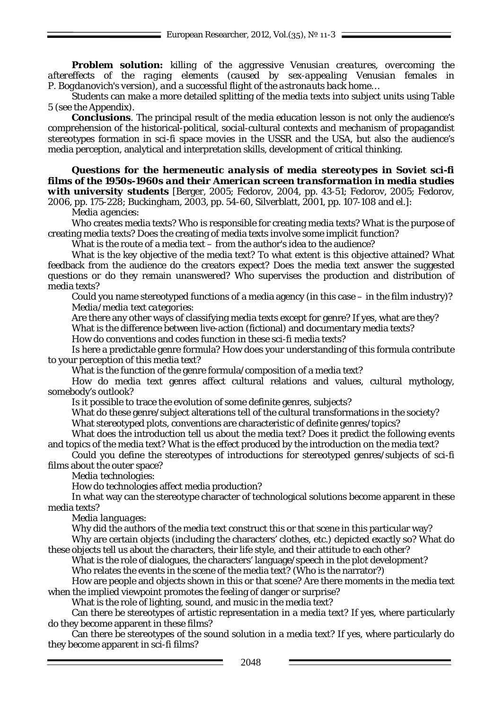*Problem solution: killing of the aggressive Venusian creatures, overcoming the aftereffects of the raging elements (caused by sex-appealing Venusian females in P. Bogdanovich's version), and a successful flight of the astronauts back home…*

Students can make a more detailed splitting of the media texts into subject units using Table 5 (see the Appendix).

*Conclusions.* The principal result of the media education lesson is not only the audience's comprehension of the historical-political, social-cultural contexts and mechanism of propagandist stereotypes formation in sci-fi space movies in the USSR and the USA, but also the audience's media perception, analytical and interpretation skills, development of critical thinking.

#### *Questions for the hermeneutic analysis of media stereotypes in Soviet sci-fi films of the 1950s-1960s and their American screen transformation in media studies with university students* [Berger, 2005; Fedorov, 2004, pp. 43-51; Fedorov, 2005; Fedorov, 2006, pp. 175-228; Buckingham, 2003, pp. 54-60, Silverblatt, 2001, pp. 107-108 and el.]:

*Media agencies:* 

Who creates media texts? Who is responsible for creating media texts? What is the purpose of creating media texts? Does the creating of media texts involve some implicit function?

What is the route of a media text – from the author's idea to the audience?

What is the key objective of the media text? To what extent is this objective attained? What feedback from the audience do the creators expect? Does the media text answer the suggested questions or do they remain unanswered? Who supervises the production and distribution of media texts?

Could you name stereotyped functions of a media agency (in this case – in the film industry)? *Media/media text categories:*

Are there any other ways of classifying media texts except for genre? If yes, what are they?

What is the difference between live-action (fictional) and documentary media texts?

How do conventions and codes function in these sci-fi media texts?

Is here a predictable genre formula? How does your understanding of this formula contribute to your perception of this media text?

What is the function of the genre formula/composition of a media text?

How do media text genres affect cultural relations and values, cultural mythology, somebody's outlook?

Is it possible to trace the evolution of some definite genres, subjects?

What do these genre/subject alterations tell of the cultural transformations in the society?

What stereotyped plots, conventions are characteristic of definite genres/topics?

What does the introduction tell us about the media text? Does it predict the following events and topics of the media text? What is the effect produced by the introduction on the media text?

Could you define the stereotypes of introductions for stereotyped genres/subjects of sci-fi films about the outer space?

*Media technologies:* 

How do technologies affect media production?

In what way can the stereotype character of technological solutions become apparent in these media texts?

*Media languages:*

Why did the authors of the media text construct this or that scene in this particular way?

Why are certain objects (including the characters' clothes, etc.) depicted exactly so? What do these objects tell us about the characters, their life style, and their attitude to each other?

What is the role of dialogues, the characters' language/speech in the plot development?

Who relates the events in the scene of the media text? (Who is the narrator?)

How are people and objects shown in this or that scene? Are there moments in the media text when the implied viewpoint promotes the feeling of danger or surprise?

What is the role of lighting, sound, and music in the media text?

Can there be stereotypes of artistic representation in a media text? If yes, where particularly do they become apparent in these films?

Can there be stereotypes of the sound solution in a media text? If yes, where particularly do they become apparent in sci-fi films?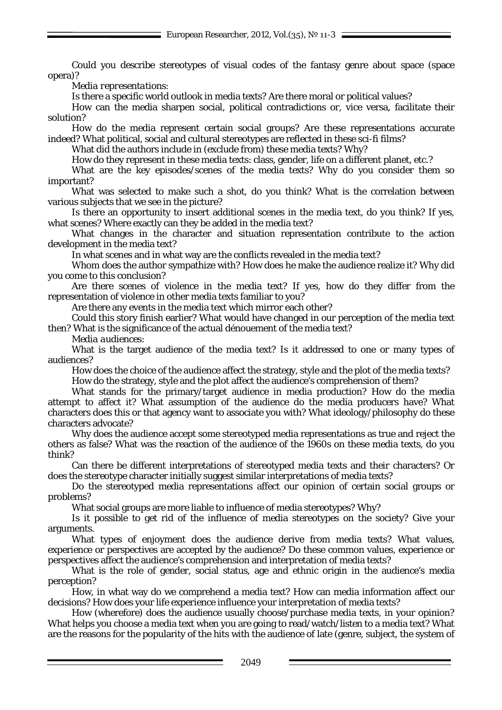Could you describe stereotypes of visual codes of the fantasy genre about space (space opera)?

*Media representations:*

Is there a specific world outlook in media texts? Are there moral or political values?

How can the media sharpen social, political contradictions or, vice versa, facilitate their solution?

How do the media represent certain social groups? Are these representations accurate indeed? What political, social and cultural stereotypes are reflected in these sci-fi films?

What did the authors include in (exclude from) these media texts? Why?

How do they represent in these media texts: class, gender, life on a different planet, etc.?

What are the key episodes/scenes of the media texts? Why do you consider them so important?

What was selected to make such a shot, do you think? What is the correlation between various subjects that we see in the picture?

Is there an opportunity to insert additional scenes in the media text, do you think? If yes, what scenes? Where exactly can they be added in the media text?

What changes in the character and situation representation contribute to the action development in the media text?

In what scenes and in what way are the conflicts revealed in the media text?

Whom does the author sympathize with? How does he make the audience realize it? Why did you come to this conclusion?

Are there scenes of violence in the media text? If yes, how do they differ from the representation of violence in other media texts familiar to you?

Are there any events in the media text which mirror each other?

Could this story finish earlier? What would have changed in our perception of the media text then? What is the significance of the actual dénouement of the media text?

*Media audiences:*

What is the target audience of the media text? Is it addressed to one or many types of audiences?

How does the choice of the audience affect the strategy, style and the plot of the media texts?

How do the strategy, style and the plot affect the audience's comprehension of them?

What stands for the primary/target audience in media production? How do the media attempt to affect it? What assumption of the audience do the media producers have? What characters does this or that agency want to associate you with? What ideology/philosophy do these characters advocate?

Why does the audience accept some stereotyped media representations as true and reject the others as false? What was the reaction of the audience of the 1960s on these media texts, do you think?

Can there be different interpretations of stereotyped media texts and their characters? Or does the stereotype character initially suggest similar interpretations of media texts?

Do the stereotyped media representations affect our opinion of certain social groups or problems?

What social groups are more liable to influence of media stereotypes? Why?

Is it possible to get rid of the influence of media stereotypes on the society? Give your arguments.

What types of enjoyment does the audience derive from media texts? What values, experience or perspectives are accepted by the audience? Do these common values, experience or perspectives affect the audience's comprehension and interpretation of media texts?

What is the role of gender, social status, age and ethnic origin in the audience's media perception?

How, in what way do we comprehend a media text? How can media information affect our decisions? How does your life experience influence your interpretation of media texts?

How (wherefore) does the audience usually choose/purchase media texts, in your opinion? What helps you choose a media text when you are going to read/watch/listen to a media text? What are the reasons for the popularity of the hits with the audience of late (genre, subject, the system of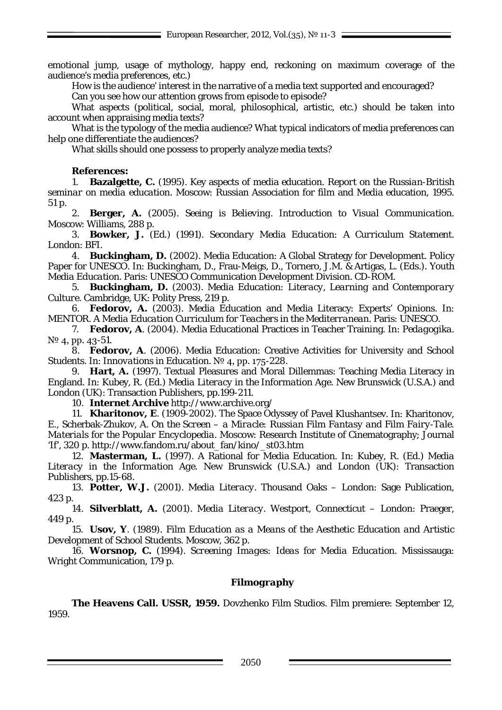emotional jump, usage of mythology, happy end, reckoning on maximum coverage of the audience's media preferences, etc.)

How is the audience' interest in the narrative of a media text supported and encouraged?

Can you see how our attention grows from episode to episode?

What aspects (political, social, moral, philosophical, artistic, etc.) should be taken into account when appraising media texts?

What is the typology of the media audience? What typical indicators of media preferences can help one differentiate the audiences?

What skills should one possess to properly analyze media texts?

## **References:**

1. **Bazalgette, C.** (1995). Key aspects of media education. *Report on the Russian-British seminar on media education.* Moscow: Russian Association for film and Media education, 1995. 51 p.

2. **Berger, A.** (2005). *Seeing is Believing*. *Introduction to Visual Communication.*  Moscow: Williams, 288 p.

3. **Bowker, J.** (Ed.) (1991). *Secondary Media Education: A Curriculum Statement*. London: BFI.

4. **Buckingham, D.** (2002). Media Education: A Global Strategy for Development. Policy Paper for UNESCO. In: Buckingham, D., Frau-Meigs, D., Tornero, J.M. & Artigas, L. (Eds.). *Youth Media Education.* Paris: UNESCO Communication Development Division. CD-ROM.

5. **Buckingham, D.** (2003). *Media Education: Literacy, Learning and Contemporary Culture.* Cambridge, UK: Polity Press, 219 p.

6. **Fedorov, A.** (2003). Media Education and Media Literacy: Experts' Opinions. In: *MENTOR. A Media Education Curriculum for Teachers in the Mediterranean.* Paris: UNESCO.

7. **Fedorov, A**. (2004). Media Educational Practices in Teacher Training. In: *Pedagogika.* N<sup>o</sup> 4, pp. 43-51.

8. **Fedorov, A**. (2006). Media Education: Creative Activities for University and School Students. In: *Innovations in Education.* № 4, pp. 175-228*.*

9. **Hart, A.** (1997). Textual Pleasures and Moral Dillemmas: Teaching Media Literacy in England. In: Kubey, R. (Ed.) *Media Literacy in the Information Age.* New Brunswick (U.S.A.) and London (UK): Transaction Publishers, pp.199-211.

10. **Internet Archive** <http://www.archive.org/>

11. **Kharitonov, E**. (1909-2002). The Space Odyssey of Pavel Klushantsev. In: Kharitonov, E., Scherbak-Zhukov, A. *On the Screen – a Miracle: Russian Film Fantasy and Film Fairy-Tale*. *Materials for the Popular Encyclopedia.* Moscow: Research Institute of Cinematography; Journal 'If', 320 p[. http://www.fandom.ru/about\\_fan/kino/\\_st03.htm](http://www.fandom.ru/about_fan/kino/_st03.htm)

12. **Masterman, L.** (1997). A Rational for Media Education. In: Kubey, R. (Ed*.) Media Literacy in the Information Age*. New Brunswick (U.S.A.) and London (UK): Transaction Publishers, pp.15-68.

13. **Potter, W.J.** (2001). *Media Literacy.* Thousand Oaks – London: Sage Publication, 423 p.

14. **Silverblatt, A.** (2001). *Media Literacy.* Westport, Connecticut – London: Praeger, 449 p.

15. **Usov, Y**. (1989). *Film Education as a Means of the Aesthetic Education and Artistic Development of School Students.* Moscow, 362 p.

16. **Worsnop, C.** (1994). *Screening Images: Ideas for Media Education.* Mississauga: Wright Communication, 179 p.

# *Filmography*

**The Heavens Call. USSR, 1959.** Dovzhenko Film Studios. Film premiere: September 12, 1959.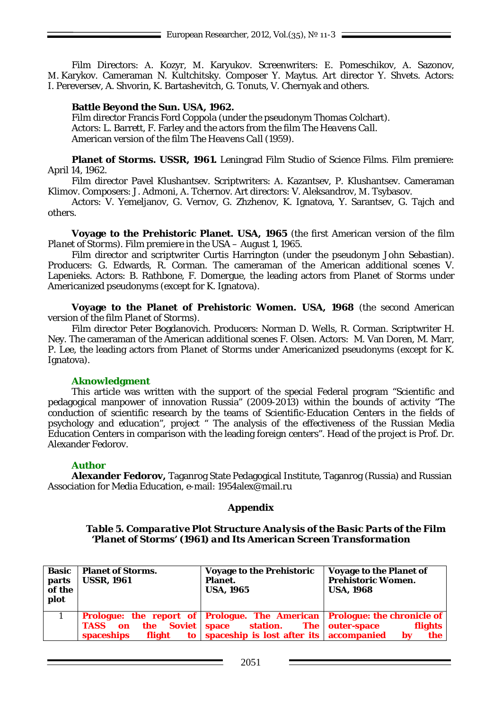Film Directors: А[. K](http://www.kino-teatr.ru/kino/director/sov/43731/works/)ozyr, М[. K](http://www.kino-teatr.ru/kino/director/sov/43482/bio/)aryukov. Screenwriters: Е[. P](http://www.kino-teatr.ru/kino/screenwriter/sov/32698/bio/)omeschikov, А[. S](http://www.kino-teatr.ru/kino/screenwriter/sov/43732/bio/)azonov, М. [Karykov.](http://www.kino-teatr.ru/kino/screenwriter/sov/43482/bio/) Cameraman [N. Kultchitsky.](http://www.kino-teatr.ru/kino/operator/sov/27530/bio/) Composer Y. Maytus. Art director Y. Shvets. Actors: I. Pereversev, A. Shvorin, K. Bartashevitch, G. Tonuts, V. Chernyak and others.

### **Battle Beyond the Sun. USA, 1962.**

Film director Francis Ford Coppola (under the pseudonym Thomas Colchart). Actors: [L. Barrett,](http://www.imdb.com/name/nm0057208/) [F. Farley](http://www.imdb.com/name/nm1478156/) and the actors from the film *The Heavens Call*. American version of the film *The Heavens Call* (1959).

**Planet of Storms. USSR, 1961.** Leningrad Film Studio of Science Films. Film premiere: April 14, 1962.

Film director Pavel Klushantsev. Scriptwriters: А[. Kazantsev,](http://www.kino-teatr.ru/kino/screenwriter/sov/43942/bio/) P. Klushantsev. Cameraman Klimov. Composers: J. Admoni, [А](http://www.kino-teatr.ru/kino/composer/sov/43947/bio/). Tchernov. Art directors: V. Aleksandrov, М[. Tsybasov.](http://www.kino-teatr.ru/kino/painter/sov/43944/bio/)

Actors: [V.](http://www.kino-teatr.ru/kino/acter/m/sov/1433/bio/) Yemeljanov, [G.](http://www.kino-teatr.ru/kino/acter/m/sov/738/bio/) Vernov, [G.](http://www.kino-teatr.ru/kino/acter/m/sov/1502/bio/) Zhzhenov, [K. Ignatova,](http://www.kino-teatr.ru/kino/acter/w/sov/1712/bio/) Y. Sarantsev, G. Tajch and others.

**Voyage to the Prehistoric Planet. USA, 1965** (the first American version of the film *Planet of Storms*). Film premiere in the USA – August 1, 1965.

Film director and scriptwriter [Curtis Harrington](http://www.imdb.com/name/nm0364252/) (under the pseudonym John Sebastian). Producers: G. Edwards, R. Corman. The cameraman of the American additional scenes V. Lapenieks. Actors: B. Rathbone, F. Domergue, the leading actors from *Planet of Storms* under Americanized pseudonyms (except for [K. Ignatova\)](http://www.kino-teatr.ru/kino/acter/w/sov/1712/bio/).

**Voyage to the Planet of Prehistoric Women. USA, 1968** (the second American version of the film *Planet of Storms*).

Film director Peter Bogdanovich. Producers: Norman D. Wells, R. Corman. Scriptwriter [H.](http://www.imdb.com/name/nm0628633/)  [Ney.](http://www.imdb.com/name/nm0628633/) The cameraman of the American additional scenes [F. Olsen.](http://www.imdb.com/name/nm0647645/) Actors: [M. Van Doren,](http://www.imdb.com/name/nm0886638/) [M. Marr,](http://www.imdb.com/name/nm0550010/) [P. Lee,](http://www.imdb.com/name/nm0497971/) the leading actors from *Planet of Storms* under Americanized pseudonyms (except for [K.](http://www.kino-teatr.ru/kino/acter/w/sov/1712/bio/)  [Ignatova\)](http://www.kino-teatr.ru/kino/acter/w/sov/1712/bio/).

### **Aknowledgment**

This article was written with the support of the special Federal program "Scientific and pedagogical manpower of innovation Russia" (2009-2013) within the bounds of activity "The conduction of scientific research by the teams of Scientific-Education Centers in the fields of psychology and education", project " The analysis of the effectiveness of the Russian Media Education Centers in comparison with the leading foreign centers". Head of the project is Prof. Dr. Alexander Fedorov.

### **Author**

**Alexander Fedorov,** Taganrog State Pedagogical Institute, Taganrog (Russia) and Russian Association for Media Education, e-mail: 1954alex@mail.ru

# *Appendix*

### *Table 5. Comparative Plot Structure Analysis of the Basic Parts of the Film 'Planet of Storms' (1961) and Its American Screen Transformation*

| Basic<br>parts<br>of the<br>plot | <b>Planet of Storms.</b><br><b>USSR, 1961</b> | <b>Voyage to the Prehistoric</b><br><b>Planet.</b><br><b>USA, 1965</b> | <b>Voyage to the Planet of</b><br><b>Prehistoric Women.</b><br><b>USA, 1968</b>                                |
|----------------------------------|-----------------------------------------------|------------------------------------------------------------------------|----------------------------------------------------------------------------------------------------------------|
|                                  | TASS on the Soviet space station.             |                                                                        | <b>Prologue: the report of Prologue. The American Prologue: the chronicle of</b><br>flights<br>The outer-space |
|                                  | spaceships                                    | flight to spaceship is lost after its accompanied                      | the<br>hv                                                                                                      |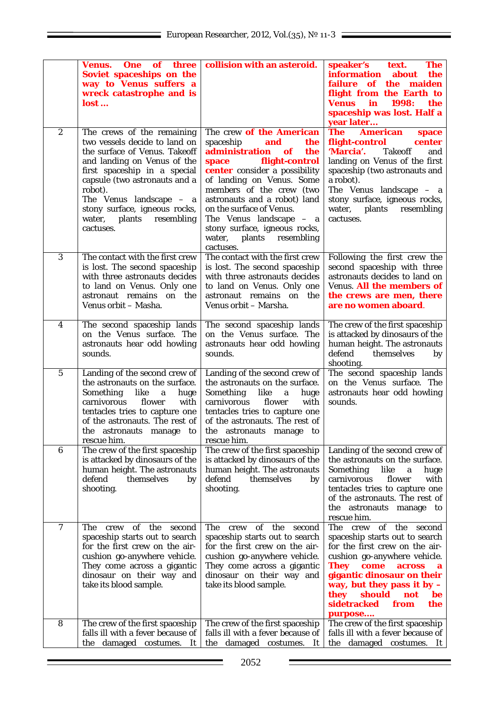|                         | One of three<br><b>Venus.</b><br>Soviet spaceships on the<br>way to Venus suffers a<br>wreck catastrophe and is<br>lost                                                                                                                                                                                      | collision with an asteroid.                                                                                                                                                                                                                                                                                                                                                     | speaker's text.<br>The<br>information<br>about<br>the<br>failure of the maiden<br>flight from the Earth to<br>in<br><b>Venus</b><br>1998:<br>the<br>spaceship was lost. Half a<br>year later                                                                                                             |
|-------------------------|--------------------------------------------------------------------------------------------------------------------------------------------------------------------------------------------------------------------------------------------------------------------------------------------------------------|---------------------------------------------------------------------------------------------------------------------------------------------------------------------------------------------------------------------------------------------------------------------------------------------------------------------------------------------------------------------------------|----------------------------------------------------------------------------------------------------------------------------------------------------------------------------------------------------------------------------------------------------------------------------------------------------------|
| $\overline{2}$          | The crews of the remaining<br>two vessels decide to land on<br>the surface of Venus. Takeoff<br>and landing on Venus of the<br>first spaceship in a special<br>capsule (two astronauts and a<br>robot).<br>The Venus landscape - a<br>stony surface, igneous rocks,<br>water, plants resembling<br>cactuses. | The crew of the American<br>spaceship<br>and<br>the<br>administration<br><b>of</b><br>the<br>flight-control<br>space<br>center consider a possibility<br>of landing on Venus. Some<br>members of the crew (two<br>astronauts and a robot) land<br>on the surface of Venus.<br>The Venus landscape - a<br>stony surface, igneous rocks,<br>water, plants resembling<br>cactuses. | <b>The American</b><br>space<br>flight-control<br>center<br>'Marcia'.<br><b>Takeoff</b><br>and<br>landing on Venus of the first<br>spaceship (two astronauts and<br>a robot).<br>The Venus landscape - a<br>stony surface, igneous rocks,<br>water, plants resembling<br>cactuses.                       |
| $\overline{3}$          | The contact with the first crew<br>is lost. The second spaceship<br>with three astronauts decides<br>to land on Venus. Only one<br>astronaut remains on the<br>Venus orbit - Masha.                                                                                                                          | The contact with the first crew<br>is lost. The second spaceship<br>with three astronauts decides<br>to land on Venus. Only one<br>astronaut remains on the<br>Venus orbit - Marsha.                                                                                                                                                                                            | Following the first crew the<br>second spaceship with three<br>astronauts decides to land on<br>Venus. All the members of<br>the crews are men, there<br>are no women aboard.                                                                                                                            |
| $\overline{\mathbf{4}}$ | The second spaceship lands<br>on the Venus surface. The<br>astronauts hear odd howling<br>sounds.                                                                                                                                                                                                            | The second spaceship lands<br>on the Venus surface. The<br>astronauts hear odd howling<br>sounds.                                                                                                                                                                                                                                                                               | The crew of the first spaceship<br>is attacked by dinosaurs of the<br>human height. The astronauts<br>defend<br>themselves<br>by<br>shooting.                                                                                                                                                            |
| $\overline{5}$          | Landing of the second crew of<br>the astronauts on the surface.<br><b>Something</b><br>like<br>huge<br>a<br>carnivorous<br>flower<br>with<br>tentacles tries to capture one<br>of the astronauts. The rest of<br>the astronauts manage to<br>rescue him.                                                     | Landing of the second crew of<br>the astronauts on the surface.<br>like<br>Something<br>huge<br>a<br>carnivorous<br>flower<br>with<br>tentacles tries to capture one<br>of the astronauts. The rest of<br>the astronauts manage to<br>rescue him.                                                                                                                               | The second spaceship lands<br>on the Venus surface. The<br>astronauts hear odd howling<br>sounds.                                                                                                                                                                                                        |
| $6\phantom{1}6$         | The crew of the first spaceship<br>is attacked by dinosaurs of the<br>human height. The astronauts<br>defend<br>themselves<br>by<br>shooting.                                                                                                                                                                | The crew of the first spaceship<br>is attacked by dinosaurs of the<br>human height. The astronauts<br>defend<br>themselves<br>by<br>shooting.                                                                                                                                                                                                                                   | Landing of the second crew of<br>the astronauts on the surface.<br><b>Something</b><br>like<br>huge<br>a<br>carnivorous<br>flower<br>with<br>tentacles tries to capture one<br>of the astronauts. The rest of<br>the<br>astronauts manage to<br>rescue him.                                              |
| $\boldsymbol{7}$        | <b>The</b><br>of the<br>crew<br>second<br>spaceship starts out to search<br>for the first crew on the air-<br>cushion go-anywhere vehicle.<br>They come across a gigantic<br>dinosaur on their way and<br>take its blood sample.                                                                             | The<br>of the<br>crew<br>second<br>spaceship starts out to search<br>for the first crew on the air-<br>cushion go-anywhere vehicle.<br>They come across a gigantic<br>dinosaur on their way and<br>take its blood sample.                                                                                                                                                       | of the<br>The<br>crew<br>second<br>spaceship starts out to search<br>for the first crew on the air-<br>cushion go-anywhere vehicle.<br>They<br>come<br>across<br>a<br>gigantic dinosaur on their<br>way, but they pass it by $-$<br>they<br>should<br>not<br>be<br>sidetracked<br>the<br>from<br>purpose |
| 8                       | The crew of the first spaceship<br>falls ill with a fever because of<br>the damaged costumes.<br>It                                                                                                                                                                                                          | The crew of the first spaceship<br>falls ill with a fever because of<br>the damaged costumes.<br>It                                                                                                                                                                                                                                                                             | The crew of the first spaceship<br>falls ill with a fever because of<br>the damaged costumes.<br>It                                                                                                                                                                                                      |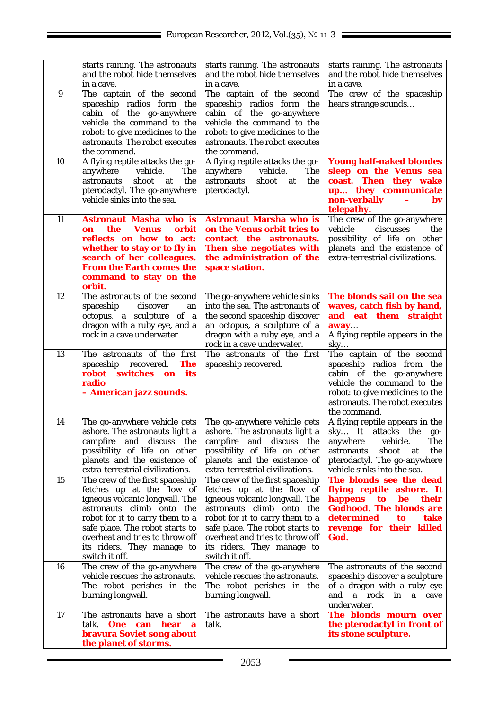|    | starts raining. The astronauts<br>and the robot hide themselves                                                                                                                                                                                                                      | starts raining. The astronauts<br>and the robot hide themselves                                                                                                                                                                                                                      | starts raining. The astronauts<br>and the robot hide themselves                                                                                                                                       |
|----|--------------------------------------------------------------------------------------------------------------------------------------------------------------------------------------------------------------------------------------------------------------------------------------|--------------------------------------------------------------------------------------------------------------------------------------------------------------------------------------------------------------------------------------------------------------------------------------|-------------------------------------------------------------------------------------------------------------------------------------------------------------------------------------------------------|
| 9  | in a cave.<br>The captain of the second<br>spaceship radios form the<br>cabin of the go-anywhere<br>vehicle the command to the<br>robot: to give medicines to the                                                                                                                    | in a cave.<br>The captain of the second<br>spaceship radios form the<br>cabin of the go-anywhere<br>vehicle the command to the<br>robot: to give medicines to the                                                                                                                    | in a cave.<br>The crew of the spaceship<br>hears strange sounds                                                                                                                                       |
|    | astronauts. The robot executes<br>the command.                                                                                                                                                                                                                                       | astronauts. The robot executes<br>the command.                                                                                                                                                                                                                                       |                                                                                                                                                                                                       |
| 10 | A flying reptile attacks the go-<br>anywhere<br>vehicle.<br>The<br>shoot<br>astronauts<br>the<br>at<br>pterodactyl. The go-anywhere<br>vehicle sinks into the sea.                                                                                                                   | A flying reptile attacks the go-<br>anywhere<br>vehicle.<br>The<br>astronauts<br>shoot<br>the<br>at<br>pterodactyl.                                                                                                                                                                  | <b>Young half-naked blondes</b><br>sleep on the Venus sea<br>coast. Then they wake<br>up they communicate<br>non-verbally<br>÷<br>by<br>telepathy.                                                    |
| 11 | <b>Astronaut Masha who is</b><br>the<br><b>Venus</b><br>orbit<br>on<br>reflects on how to act:<br>whether to stay or to fly in<br>search of her colleagues.<br><b>From the Earth comes the</b><br>command to stay on the<br>orbit.                                                   | <b>Astronaut Marsha who is</b><br>on the Venus orbit tries to<br>contact the<br>astronauts.<br>Then she negotiates with<br>the administration of the<br>space station.                                                                                                               | The crew of the go-anywhere<br>vehicle<br>discusses<br>the<br>possibility of life on other<br>planets and the existence of<br>extra-terrestrial civilizations.                                        |
| 12 | The astronauts of the second<br>spaceship<br>discover<br>an<br>octopus, a sculpture of a<br>dragon with a ruby eye, and a<br>rock in a cave underwater.                                                                                                                              | The go-anywhere vehicle sinks<br>into the sea. The astronauts of<br>the second spaceship discover<br>an octopus, a sculpture of a<br>dragon with a ruby eye, and a<br>rock in a cave underwater.                                                                                     | The blonds sail on the sea<br>waves, catch fish by hand,<br>and eat them straight<br>away<br>A flying reptile appears in the<br>sky                                                                   |
| 13 | The astronauts of the first<br><b>The</b><br>spaceship<br>recovered.<br>robot switches<br>its<br>on<br>radio<br>- American jazz sounds.                                                                                                                                              | The astronauts of the first<br>spaceship recovered.                                                                                                                                                                                                                                  | The captain of the second<br>spaceship radios from the<br>cabin of the go-anywhere<br>vehicle the command to the<br>robot: to give medicines to the<br>astronauts. The robot executes<br>the command. |
| 14 | The go-anywhere vehicle gets<br>ashore. The astronauts light a<br>campfire and discuss the<br>possibility of life on other<br>planets and the existence of<br>extra-terrestrial civilizations.                                                                                       | The go-anywhere vehicle gets<br>ashore. The astronauts light a<br>campfire and discuss the<br>possibility of life on other<br>planets and the existence of<br>extra-terrestrial civilizations.                                                                                       | A flying reptile appears in the<br>sky It attacks the<br>$g_{0}$ -<br>anywhere<br>vehicle.<br>The<br>shoot<br>the<br>astronauts<br>at<br>pterodactyl. The go-anywhere<br>vehicle sinks into the sea.  |
| 15 | The crew of the first spaceship<br>fetches up at the flow of<br>igneous volcanic longwall. The<br>astronauts climb onto the<br>robot for it to carry them to a<br>safe place. The robot starts to<br>overheat and tries to throw off<br>its riders. They manage to<br>switch it off. | The crew of the first spaceship<br>fetches up at the flow of<br>igneous volcanic longwall. The<br>astronauts climb onto the<br>robot for it to carry them to a<br>safe place. The robot starts to<br>overheat and tries to throw off<br>its riders. They manage to<br>switch it off. | The blonds see the dead<br>flying reptile ashore. It<br>happens<br>to<br>be<br>their<br><b>Godhood. The blonds are</b><br>determined<br>take<br>to<br>revenge for their killed<br>God.                |
| 16 | The crew of the go-anywhere<br>vehicle rescues the astronauts.<br>The robot perishes in the<br>burning longwall.                                                                                                                                                                     | The crew of the go-anywhere<br>vehicle rescues the astronauts.<br>The robot perishes in the<br>burning longwall.                                                                                                                                                                     | The astronauts of the second<br>spaceship discover a sculpture<br>of a dragon with a ruby eye<br>and a rock in a cave<br>underwater.                                                                  |
| 17 | The astronauts have a short<br>talk.<br>One can hear a<br><b>bravura Soviet song about</b><br>the planet of storms.                                                                                                                                                                  | The astronauts have a short<br>talk.                                                                                                                                                                                                                                                 | The blonds mourn over<br>the pterodactyl in front of<br>its stone sculpture.                                                                                                                          |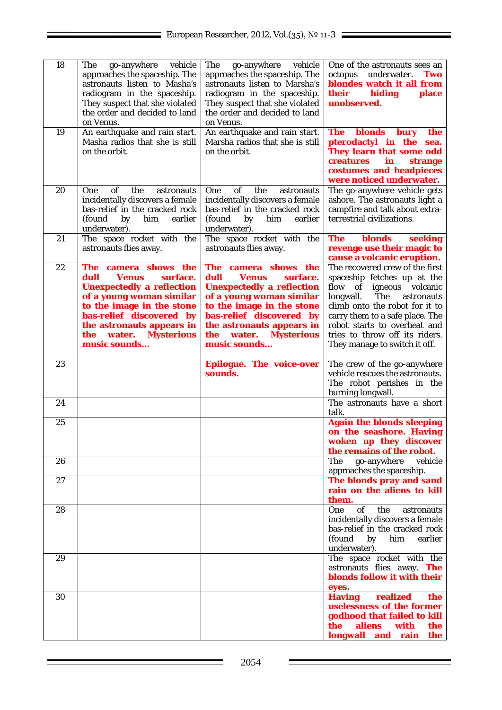| $\overline{18}$ | go-anywhere<br>The<br>vehicle<br>approaches the spaceship. The<br>astronauts listen to Masha's<br>radiogram in the spaceship.<br>They suspect that she violated<br>the order and decided to land<br>on Venus.                                           | The<br>go-anywhere<br>vehicle<br>approaches the spaceship. The<br>astronauts listen to Marsha's<br>radiogram in the spaceship.<br>They suspect that she violated<br>the order and decided to land<br>on Venus.                                                | One of the astronauts sees an<br>octopus underwater.<br>Two<br>blondes watch it all from<br>hiding<br>place<br>their<br>unobserved.                                                                                                                                                                     |
|-----------------|---------------------------------------------------------------------------------------------------------------------------------------------------------------------------------------------------------------------------------------------------------|---------------------------------------------------------------------------------------------------------------------------------------------------------------------------------------------------------------------------------------------------------------|---------------------------------------------------------------------------------------------------------------------------------------------------------------------------------------------------------------------------------------------------------------------------------------------------------|
| 19              | An earthquake and rain start.<br>Masha radios that she is still<br>on the orbit.                                                                                                                                                                        | An earthquake and rain start.<br>Marsha radios that she is still<br>on the orbit.                                                                                                                                                                             | <b>blonds</b> bury<br>The<br>the<br>pterodactyl in the sea.<br>They learn that some odd<br>creatures<br>in<br>strange<br>costumes and headpieces<br>were noticed underwater.                                                                                                                            |
| 20              | the<br>of<br>astronauts<br>One<br>incidentally discovers a female<br>bas-relief in the cracked rock<br>(found<br>by<br>him<br>earlier<br>underwater).                                                                                                   | of<br>the<br><b>One</b><br>astronauts<br>incidentally discovers a female<br>bas-relief in the cracked rock<br>(found<br>him<br>earlier<br>by<br>underwater).                                                                                                  | The go-anywhere vehicle gets<br>ashore. The astronauts light a<br>campfire and talk about extra-<br>terrestrial civilizations.                                                                                                                                                                          |
| 21              | The space rocket with the<br>astronauts flies away.                                                                                                                                                                                                     | The space rocket with the<br>astronauts flies away.                                                                                                                                                                                                           | <b>The</b><br>blonds<br>seeking<br>revenge use their magic to<br>cause a volcanic eruption.                                                                                                                                                                                                             |
| $\overline{22}$ | The camera shows the<br>dull<br>surface.<br><b>Venus</b><br><b>Unexpectedly a reflection</b><br>of a young woman similar<br>to the image in the stone<br>bas-relief discovered by<br>the astronauts appears in<br>the water. Mysterious<br>music sounds | camera shows the<br>The<br>dull<br>surface.<br><b>Venus</b><br><b>Unexpectedly a reflection</b><br>of a young woman similar<br>to the image in the stone<br>bas-relief discovered by<br>the astronauts appears in<br>water. Mysterious<br>the<br>music sounds | The recovered crew of the first<br>spaceship fetches up at the<br>flow of<br>igneous volcanic<br>longwall.<br>The<br>astronauts<br>climb onto the robot for it to<br>carry them to a safe place. The<br>robot starts to overheat and<br>tries to throw off its riders.<br>They manage to switch it off. |
| 23              |                                                                                                                                                                                                                                                         | <b>Epilogue. The voice-over</b><br>sounds.                                                                                                                                                                                                                    | The crew of the go-anywhere<br>vehicle rescues the astronauts.<br>The robot perishes in the<br>burning longwall.                                                                                                                                                                                        |
| 24              |                                                                                                                                                                                                                                                         |                                                                                                                                                                                                                                                               | The astronauts have a short<br>talk.                                                                                                                                                                                                                                                                    |
| 25              |                                                                                                                                                                                                                                                         |                                                                                                                                                                                                                                                               | <b>Again the blonds sleeping</b><br>on the seashore. Having<br>woken up they discover<br>the remains of the robot.                                                                                                                                                                                      |
| 26              |                                                                                                                                                                                                                                                         |                                                                                                                                                                                                                                                               | vehicle<br>The<br>go-anywhere<br>approaches the spaceship.                                                                                                                                                                                                                                              |
| 27              |                                                                                                                                                                                                                                                         |                                                                                                                                                                                                                                                               | The blonds pray and sand<br>rain on the aliens to kill<br>them.                                                                                                                                                                                                                                         |
| 28              |                                                                                                                                                                                                                                                         |                                                                                                                                                                                                                                                               | $\overline{\text{of}}$<br>the<br>One<br>astronauts<br>incidentally discovers a female<br>bas-relief in the cracked rock<br>(found<br>earlier<br>him<br>by<br>underwater).                                                                                                                               |
| 29              |                                                                                                                                                                                                                                                         |                                                                                                                                                                                                                                                               | The space rocket with the<br>astronauts flies away. The<br>blonds follow it with their<br>eyes.                                                                                                                                                                                                         |
| 30              |                                                                                                                                                                                                                                                         |                                                                                                                                                                                                                                                               | realized<br><b>Having</b><br>the<br>uselessness of the former<br>godhood that failed to kill<br>aliens<br>the<br>with<br>the<br>longwall and rain<br>the                                                                                                                                                |